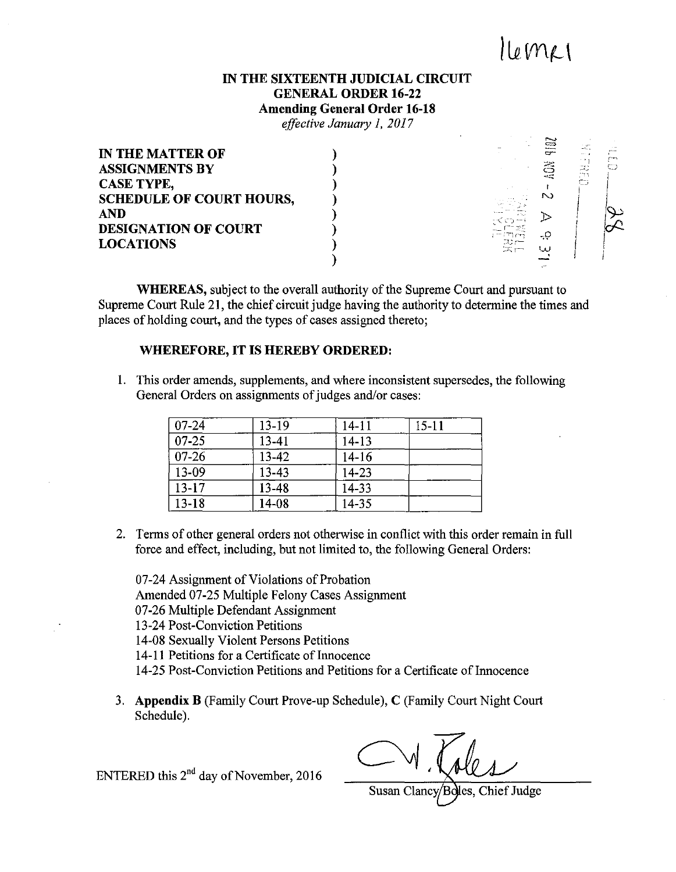# $l[\rho$ mer

#### **IN THE SIXTEENTH JUDICIAL CIRCUIT GENERAL ORDER 16-22**

**Amending General Order 16-18** 

*effective January 1, 2017* 

| <b>IN THE MATTER OF</b>         |                          |        | $-2$<br>. .<br>$\cdots$              |  |
|---------------------------------|--------------------------|--------|--------------------------------------|--|
| <b>ASSIGNMENTS BY</b>           |                          | 22     | $-$ y $-$<br>ر. مر<br>$1 - 1$<br>- 1 |  |
| <b>CASE TYPE,</b>               |                          |        | ಾ                                    |  |
| <b>SCHEDULE OF COURT HOURS,</b> |                          | $\sim$ |                                      |  |
| <b>AND</b>                      |                          |        |                                      |  |
| <b>DESIGNATION OF COURT</b>     |                          | -0     |                                      |  |
| <b>LOCATIONS</b>                | ಸು ಹ<br>$\infty$ r $\pm$ |        |                                      |  |
|                                 |                          |        |                                      |  |
|                                 |                          |        |                                      |  |

**WHEREAS,** subject to the overall authority of the Supreme Court and pursuant to Supreme Court Rule 21, the chief circuit judge having the authority to determine the times and places of holding court, and the types of cases assigned thereto;

#### **WHEREFORE, IT IS HEREBY ORDERED:**

1. This order amends, supplements, and where inconsistent supersedes, the following General Orders on assignments of judges and/or cases:

| $07 - 24$ | $13-19$ | $14 - 11$ | $15 - 11$ |
|-----------|---------|-----------|-----------|
| $07 - 25$ | 13-41   | $14 - 13$ |           |
| $07 - 26$ | 13-42   | $14 - 16$ |           |
| 13-09     | 13-43   | 14-23     |           |
| $13 - 17$ | 13-48   | 14-33     |           |
| $13 - 18$ | 14-08   | 14-35     |           |

2. Terms of other general orders not otherwise in conflict with this order remain in full force and effect, including, but not limited to, the following General Orders:

07-24 Assignment of Violations of Probation Amended 07-25 Multiple Felony Cases Assignment 07-26 Multiple Defendant Assignment

- 13-24 Post-Conviction Petitions
- 14-08 Sexually Violent Persons Petitions
- 14-11 Petitions for a Certificate of Innocence
- 14-25 Post-Conviction Petitions and Petitions for a Certificate of Innocence
- 3. **Appendix B** (Family Court Prove-up Schedule), C (Family Court Night Court Schedule).

ENTERED this  $2<sup>nd</sup>$  day of November, 2016

Chief Judge Susan Clancy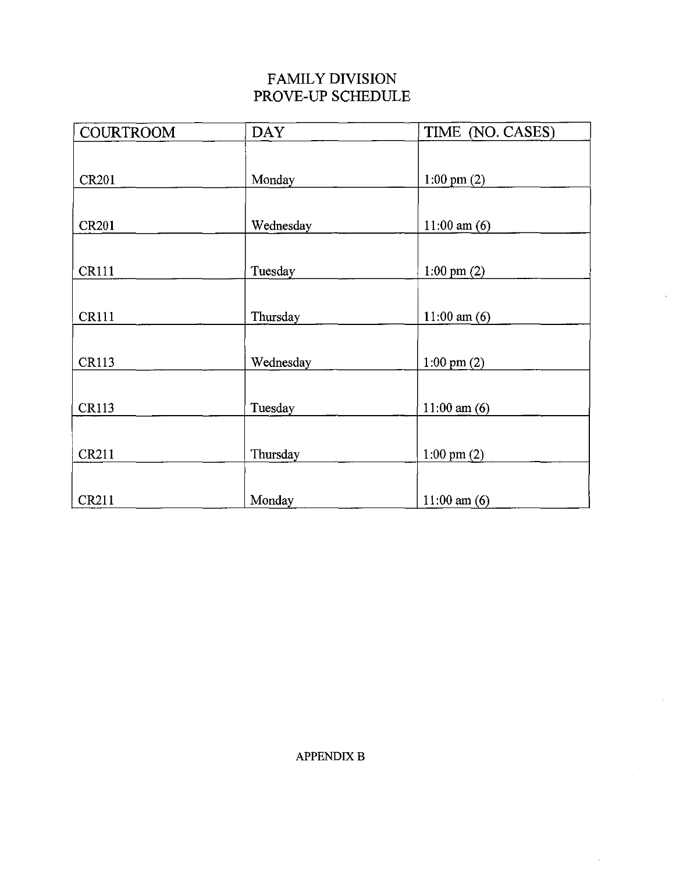### FAMILY DIVISION PROVE-UP SCHEDULE

| <b>COURTROOM</b> | <b>DAY</b> | TIME (NO. CASES)       |
|------------------|------------|------------------------|
|                  |            |                        |
| <b>CR201</b>     | Monday     | 1:00 pm $(2)$          |
|                  |            |                        |
| <b>CR201</b>     | Wednesday  | $11:00$ am $(6)$       |
|                  |            |                        |
| <b>CR111</b>     | Tuesday    | $1:00 \text{ pm } (2)$ |
|                  |            |                        |
| <b>CR111</b>     | Thursday   | $11:00$ am $(6)$       |
|                  |            |                        |
| <b>CR113</b>     | Wednesday  | $1:00 \text{ pm } (2)$ |
|                  |            |                        |
| <b>CR113</b>     | Tuesday    | $11:00$ am $(6)$       |
|                  |            |                        |
| <b>CR211</b>     | Thursday   | $1:00 \text{ pm } (2)$ |
|                  |            |                        |
| <b>CR211</b>     | Monday     | $11:00$ am $(6)$       |

 $\bar{z}$ 

÷,

 $\bar{z}$